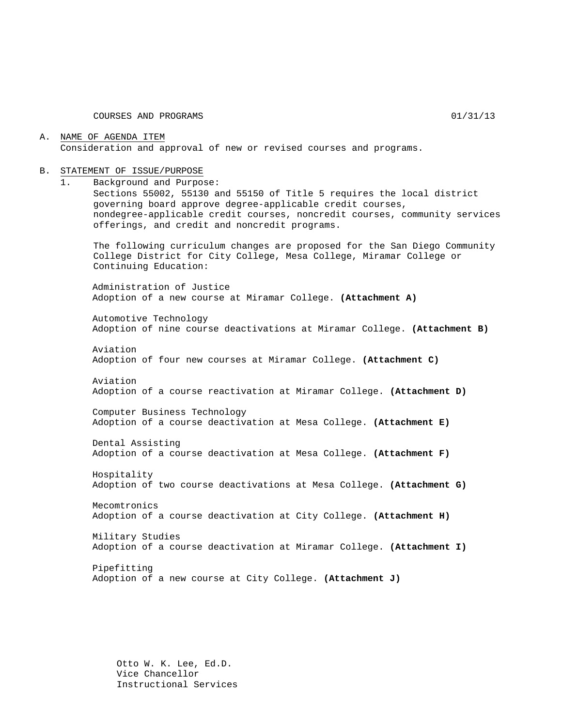COURSES AND PROGRAMS 01/31/13

#### A. NAME OF AGENDA ITEM Consideration and approval of new or revised courses and programs.

#### B. STATEMENT OF ISSUE/PURPOSE

1. Background and Purpose:

Sections 55002, 55130 and 55150 of Title 5 requires the local district governing board approve degree-applicable credit courses, nondegree-applicable credit courses, noncredit courses, community services offerings, and credit and noncredit programs.

The following curriculum changes are proposed for the San Diego Community College District for City College, Mesa College, Miramar College or Continuing Education:

Administration of Justice Adoption of a new course at Miramar College. **(Attachment A)**

Automotive Technology Adoption of nine course deactivations at Miramar College. **(Attachment B)**

Aviation Adoption of four new courses at Miramar College. **(Attachment C)**

Aviation Adoption of a course reactivation at Miramar College. **(Attachment D)**

Computer Business Technology Adoption of a course deactivation at Mesa College. **(Attachment E)**

Dental Assisting Adoption of a course deactivation at Mesa College. **(Attachment F)**

Hospitality Adoption of two course deactivations at Mesa College. **(Attachment G)**

Mecomtronics Adoption of a course deactivation at City College. **(Attachment H)**

Military Studies Adoption of a course deactivation at Miramar College. **(Attachment I)**

Pipefitting Adoption of a new course at City College. **(Attachment J)**

Otto W. K. Lee, Ed.D. Vice Chancellor Instructional Services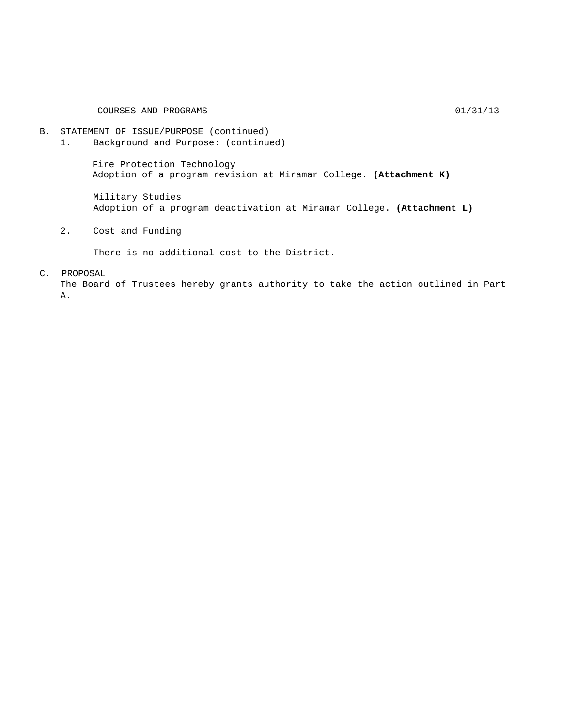# B. STATEMENT OF ISSUE/PURPOSE (continued)<br>1. Background and Purpose: (continue

Background and Purpose: (continued)

Fire Protection Technology Adoption of a program revision at Miramar College. **(Attachment K)**

Military Studies Adoption of a program deactivation at Miramar College. **(Attachment L)**

2. Cost and Funding

There is no additional cost to the District.

#### C. PROPOSAL

The Board of Trustees hereby grants authority to take the action outlined in Part A.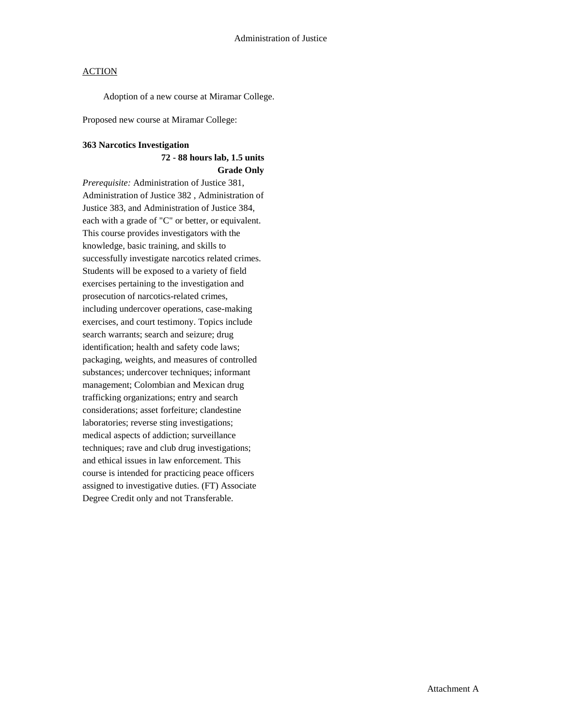Adoption of a new course at Miramar College.

Proposed new course at Miramar College:

#### **363 Narcotics Investigation**

# **72 - 88 hours lab, 1.5 units Grade Only**

*Prerequisite:* Administration of Justice 381, Administration of Justice 382 , Administration of Justice 383, and Administration of Justice 384, each with a grade of "C" or better, or equivalent. This course provides investigators with the knowledge, basic training, and skills to successfully investigate narcotics related crimes. Students will be exposed to a variety of field exercises pertaining to the investigation and prosecution of narcotics-related crimes, including undercover operations, case-making exercises, and court testimony. Topics include search warrants; search and seizure; drug identification; health and safety code laws; packaging, weights, and measures of controlled substances; undercover techniques; informant management; Colombian and Mexican drug trafficking organizations; entry and search considerations; asset forfeiture; clandestine laboratories; reverse sting investigations; medical aspects of addiction; surveillance techniques; rave and club drug investigations; and ethical issues in law enforcement. This course is intended for practicing peace officers assigned to investigative duties. (FT) Associate Degree Credit only and not Transferable.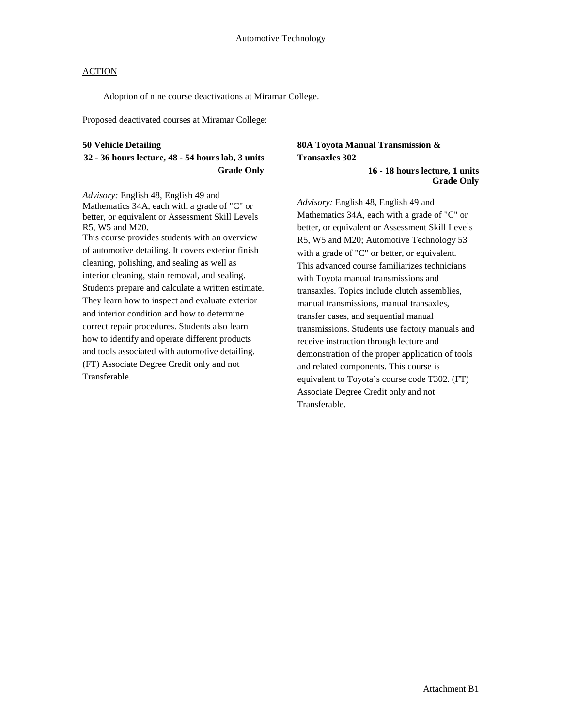Adoption of nine course deactivations at Miramar College.

Proposed deactivated courses at Miramar College:

#### **50 Vehicle Detailing**

# **32 - 36 hours lecture, 48 - 54 hours lab, 3 units Grade Only**

*Advisory:* English 48, English 49 and Mathematics 34A, each with a grade of "C" or better, or equivalent or Assessment Skill Levels R5, W5 and M20.

This course provides students with an overview of automotive detailing. It covers exterior finish cleaning, polishing, and sealing as well as interior cleaning, stain removal, and sealing. Students prepare and calculate a written estimate. They learn how to inspect and evaluate exterior and interior condition and how to determine correct repair procedures. Students also learn how to identify and operate different products and tools associated with automotive detailing. (FT) Associate Degree Credit only and not Transferable.

# **80A Toyota Manual Transmission & Transaxles 302**

**16 - 18 hours lecture, 1 units Grade Only** 

*Advisory:* English 48, English 49 and Mathematics 34A, each with a grade of "C" or better, or equivalent or Assessment Skill Levels R5, W5 and M20; Automotive Technology 53 with a grade of "C" or better, or equivalent. This advanced course familiarizes technicians with Toyota manual transmissions and transaxles. Topics include clutch assemblies, manual transmissions, manual transaxles, transfer cases, and sequential manual transmissions. Students use factory manuals and receive instruction through lecture and demonstration of the proper application of tools and related components. This course is equivalent to Toyota's course code T302. (FT) Associate Degree Credit only and not Transferable.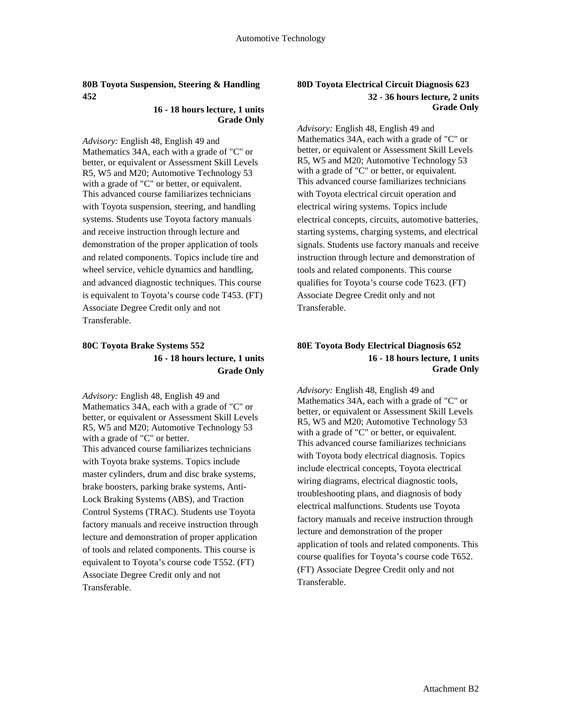#### **80B Toyota Suspension, Steering & Handling 452**

#### **16 - 18 hours lecture, 1 units Grade Only**

*Advisory:* English 48, English 49 and Mathematics 34A, each with a grade of "C" or better, or equivalent or Assessment Skill Levels R5, W5 and M20; Automotive Technology 53 with a grade of "C" or better, or equivalent. This advanced course familiarizes technicians with Toyota suspension, steering, and handling systems. Students use Toyota factory manuals and receive instruction through lecture and demonstration of the proper application of tools and related components. Topics include tire and wheel service, vehicle dynamics and handling, and advanced diagnostic techniques. This course is equivalent to Toyota's course code T453. (FT) Associate Degree Credit only and not Transferable.

# **80C Toyota Brake Systems 552 16 - 18 hours lecture, 1 units Grade Only**

*Advisory:* English 48, English 49 and Mathematics 34A, each with a grade of "C" or better, or equivalent or Assessment Skill Levels R5, W5 and M20; Automotive Technology 53 with a grade of "C" or better. This advanced course familiarizes technicians with Toyota brake systems. Topics include master cylinders, drum and disc brake systems, brake boosters, parking brake systems, Anti-Lock Braking Systems (ABS), and Traction Control Systems (TRAC). Students use Toyota factory manuals and receive instruction through lecture and demonstration of proper application of tools and related components. This course is equivalent to Toyota's course code T552. (FT) Associate Degree Credit only and not Transferable.

## **80D Toyota Electrical Circuit Diagnosis 623 32 - 36 hours lecture, 2 units Grade Only**

*Advisory:* English 48, English 49 and Mathematics 34A, each with a grade of "C" or better, or equivalent or Assessment Skill Levels R5, W5 and M20; Automotive Technology 53 with a grade of "C" or better, or equivalent. This advanced course familiarizes technicians with Toyota electrical circuit operation and electrical wiring systems. Topics include electrical concepts, circuits, automotive batteries, starting systems, charging systems, and electrical signals. Students use factory manuals and receive instruction through lecture and demonstration of tools and related components. This course qualifies for Toyota's course code T623. (FT) Associate Degree Credit only and not Transferable.

# **80E Toyota Body Electrical Diagnosis 652 16 - 18 hours lecture, 1 units Grade Only**

*Advisory:* English 48, English 49 and Mathematics 34A, each with a grade of "C" or better, or equivalent or Assessment Skill Levels R5, W5 and M20; Automotive Technology 53 with a grade of "C" or better, or equivalent. This advanced course familiarizes technicians with Toyota body electrical diagnosis. Topics include electrical concepts, Toyota electrical wiring diagrams, electrical diagnostic tools, troubleshooting plans, and diagnosis of body electrical malfunctions. Students use Toyota factory manuals and receive instruction through lecture and demonstration of the proper application of tools and related components. This course qualifies for Toyota's course code T652. (FT) Associate Degree Credit only and not Transferable.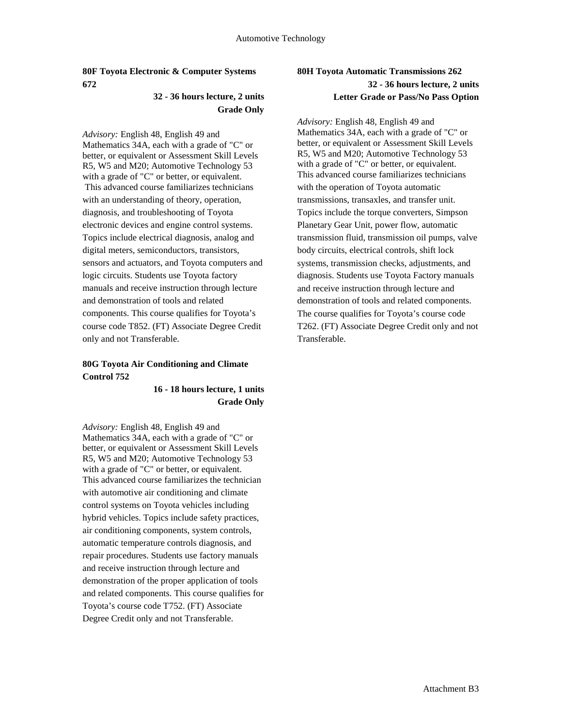### **80F Toyota Electronic & Computer Systems 672**

# **32 - 36 hours lecture, 2 units Grade Only**

*Advisory:* English 48, English 49 and Mathematics 34A, each with a grade of "C" or better, or equivalent or Assessment Skill Levels R5, W5 and M20; Automotive Technology 53 with a grade of "C" or better, or equivalent. This advanced course familiarizes technicians with an understanding of theory, operation, diagnosis, and troubleshooting of Toyota electronic devices and engine control systems. Topics include electrical diagnosis, analog and digital meters, semiconductors, transistors, sensors and actuators, and Toyota computers and logic circuits. Students use Toyota factory manuals and receive instruction through lecture and demonstration of tools and related components. This course qualifies for Toyota's course code T852. (FT) Associate Degree Credit only and not Transferable.

# **80G Toyota Air Conditioning and Climate Control 752**

## **16 - 18 hours lecture, 1 units Grade Only**

*Advisory:* English 48, English 49 and Mathematics 34A, each with a grade of "C" or better, or equivalent or Assessment Skill Levels R5, W5 and M20; Automotive Technology 53 with a grade of "C" or better, or equivalent. This advanced course familiarizes the technician with automotive air conditioning and climate control systems on Toyota vehicles including hybrid vehicles. Topics include safety practices, air conditioning components, system controls, automatic temperature controls diagnosis, and repair procedures. Students use factory manuals and receive instruction through lecture and demonstration of the proper application of tools and related components. This course qualifies for Toyota's course code T752. (FT) Associate Degree Credit only and not Transferable.

# **80H Toyota Automatic Transmissions 262 32 - 36 hours lecture, 2 units Letter Grade or Pass/No Pass Option**

*Advisory:* English 48, English 49 and Mathematics 34A, each with a grade of "C" or better, or equivalent or Assessment Skill Levels R5, W5 and M20; Automotive Technology 53 with a grade of "C" or better, or equivalent. This advanced course familiarizes technicians with the operation of Toyota automatic transmissions, transaxles, and transfer unit. Topics include the torque converters, Simpson Planetary Gear Unit, power flow, automatic transmission fluid, transmission oil pumps, valve body circuits, electrical controls, shift lock systems, transmission checks, adjustments, and diagnosis. Students use Toyota Factory manuals and receive instruction through lecture and demonstration of tools and related components. The course qualifies for Toyota's course code T262. (FT) Associate Degree Credit only and not Transferable.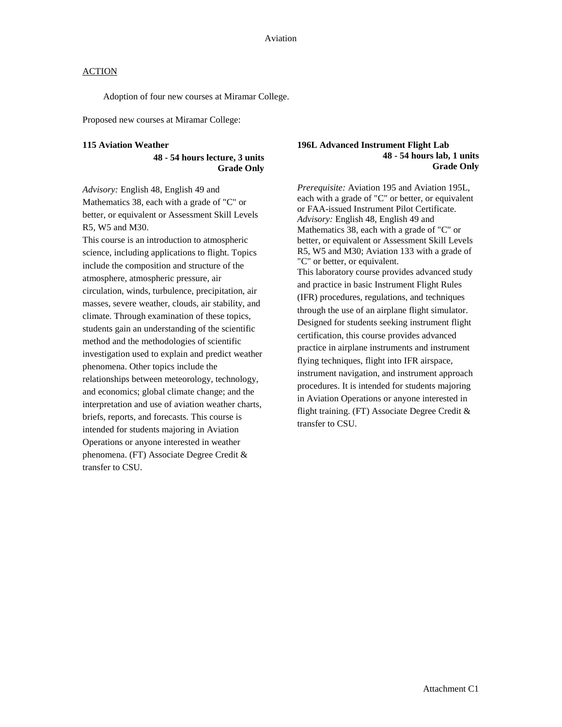Adoption of four new courses at Miramar College.

Proposed new courses at Miramar College:

#### **115 Aviation Weather**

**48 - 54 hours lecture, 3 units Grade Only** 

*Advisory:* English 48, English 49 and Mathematics 38, each with a grade of "C" or better, or equivalent or Assessment Skill Levels R5, W5 and M30.

This course is an introduction to atmospheric science, including applications to flight. Topics include the composition and structure of the atmosphere, atmospheric pressure, air circulation, winds, turbulence, precipitation, air masses, severe weather, clouds, air stability, and climate. Through examination of these topics, students gain an understanding of the scientific method and the methodologies of scientific investigation used to explain and predict weather phenomena. Other topics include the relationships between meteorology, technology, and economics; global climate change; and the interpretation and use of aviation weather charts, briefs, reports, and forecasts. This course is intended for students majoring in Aviation Operations or anyone interested in weather phenomena. (FT) Associate Degree Credit & transfer to CSU.

#### **196L Advanced Instrument Flight Lab 48 - 54 hours lab, 1 units Grade Only**

*Prerequisite:* Aviation 195 and Aviation 195L, each with a grade of "C" or better, or equivalent or FAA-issued Instrument Pilot Certificate. *Advisory:* English 48, English 49 and Mathematics 38, each with a grade of "C" or better, or equivalent or Assessment Skill Levels R5, W5 and M30; Aviation 133 with a grade of "C" or better, or equivalent. This laboratory course provides advanced study and practice in basic Instrument Flight Rules (IFR) procedures, regulations, and techniques through the use of an airplane flight simulator. Designed for students seeking instrument flight certification, this course provides advanced practice in airplane instruments and instrument flying techniques, flight into IFR airspace, instrument navigation, and instrument approach procedures. It is intended for students majoring in Aviation Operations or anyone interested in flight training. (FT) Associate Degree Credit & transfer to CSU.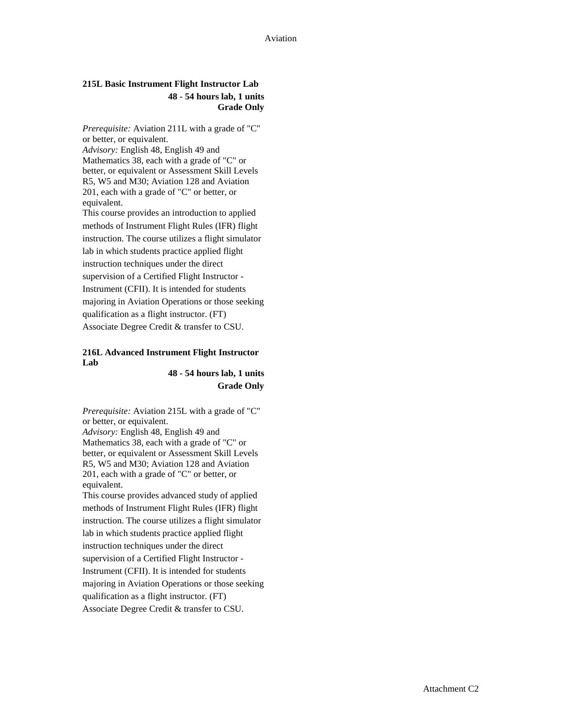#### **215L Basic Instrument Flight Instructor Lab 48 - 54 hours lab, 1 units Grade Only**

*Prerequisite:* Aviation 211L with a grade of "C" or better, or equivalent. *Advisory:* English 48, English 49 and Mathematics 38, each with a grade of "C" or better, or equivalent or Assessment Skill Levels R5, W5 and M30; Aviation 128 and Aviation 201, each with a grade of "C" or better, or equivalent. This course provides an introduction to applied methods of Instrument Flight Rules (IFR) flight instruction. The course utilizes a flight simulator lab in which students practice applied flight instruction techniques under the direct supervision of a Certified Flight Instructor -

Instrument (CFII). It is intended for students majoring in Aviation Operations or those seeking qualification as a flight instructor. (FT) Associate Degree Credit & transfer to CSU.

#### **216L Advanced Instrument Flight Instructor Lab**

**48 - 54 hours lab, 1 units Grade Only**

*Prerequisite:* Aviation 215L with a grade of "C" or better, or equivalent. *Advisory:* English 48, English 49 and Mathematics 38, each with a grade of "C" or better, or equivalent or Assessment Skill Levels R5, W5 and M30; Aviation 128 and Aviation 201, each with a grade of "C" or better, or equivalent.

This course provides advanced study of applied methods of Instrument Flight Rules (IFR) flight instruction. The course utilizes a flight simulator lab in which students practice applied flight instruction techniques under the direct supervision of a Certified Flight Instructor - Instrument (CFII). It is intended for students majoring in Aviation Operations or those seeking qualification as a flight instructor. (FT) Associate Degree Credit & transfer to CSU.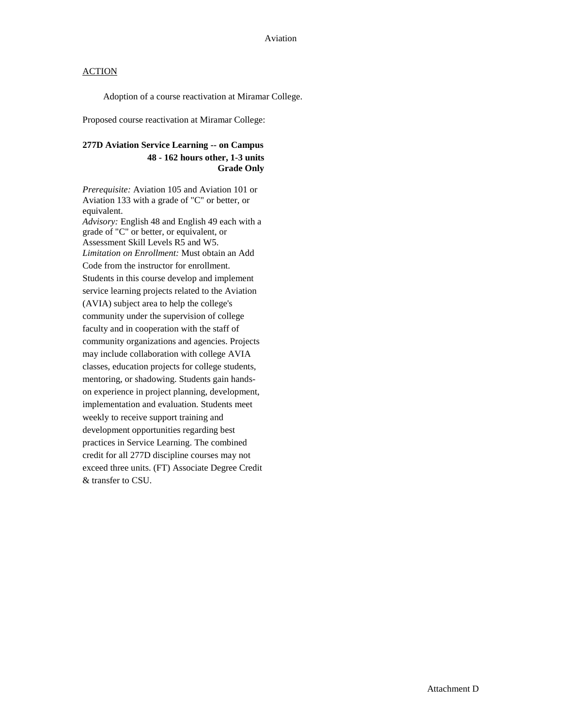Adoption of a course reactivation at Miramar College.

Proposed course reactivation at Miramar College:

# **277D Aviation Service Learning -- on Campus 48 - 162 hours other, 1-3 units Grade Only**

*Prerequisite:* Aviation 105 and Aviation 101 or Aviation 133 with a grade of "C" or better, or equivalent. *Advisory:* English 48 and English 49 each with a grade of "C" or better, or equivalent, or Assessment Skill Levels R5 and W5. *Limitation on Enrollment:* Must obtain an Add Code from the instructor for enrollment. Students in this course develop and implement service learning projects related to the Aviation (AVIA) subject area to help the college's community under the supervision of college faculty and in cooperation with the staff of community organizations and agencies. Projects may include collaboration with college AVIA classes, education projects for college students, mentoring, or shadowing. Students gain handson experience in project planning, development, implementation and evaluation. Students meet weekly to receive support training and development opportunities regarding best practices in Service Learning. The combined credit for all 277D discipline courses may not exceed three units. (FT) Associate Degree Credit & transfer to CSU.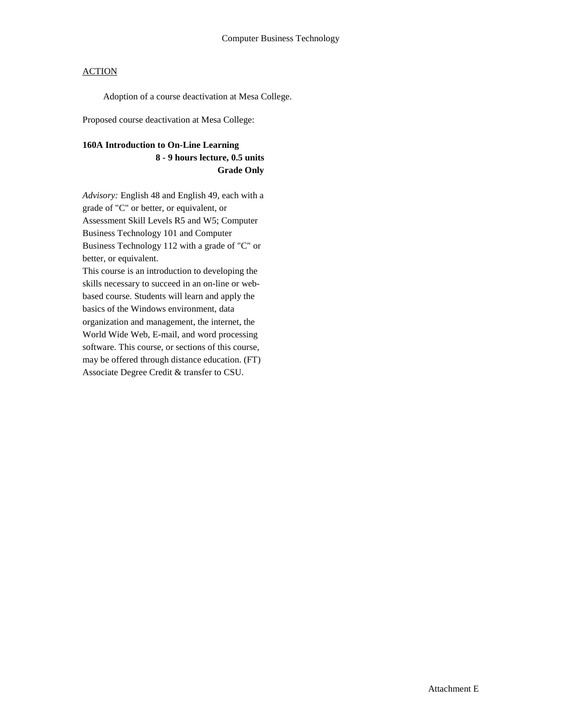Adoption of a course deactivation at Mesa College.

Proposed course deactivation at Mesa College:

# **160A Introduction to On-Line Learning 8 - 9 hours lecture, 0.5 units Grade Only**

*Advisory:* English 48 and English 49, each with a grade of "C" or better, or equivalent, or Assessment Skill Levels R5 and W5; Computer Business Technology 101 and Computer Business Technology 112 with a grade of "C" or better, or equivalent.

This course is an introduction to developing the skills necessary to succeed in an on-line or webbased course. Students will learn and apply the basics of the Windows environment, data organization and management, the internet, the World Wide Web, E-mail, and word processing software. This course, or sections of this course, may be offered through distance education. (FT) Associate Degree Credit & transfer to CSU.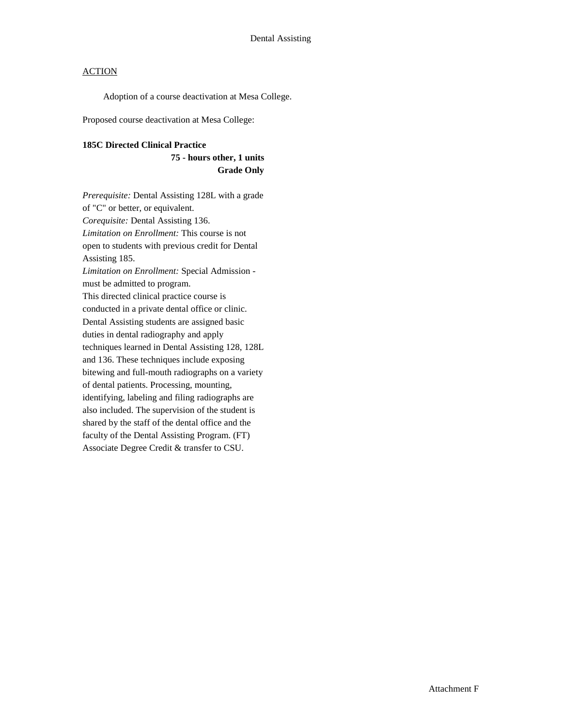Adoption of a course deactivation at Mesa College.

Proposed course deactivation at Mesa College:

#### **185C Directed Clinical Practice**

**75 - hours other, 1 units Grade Only**

*Prerequisite:* Dental Assisting 128L with a grade of "C" or better, or equivalent. *Corequisite:* Dental Assisting 136. *Limitation on Enrollment:* This course is not open to students with previous credit for Dental Assisting 185. *Limitation on Enrollment:* Special Admission must be admitted to program. This directed clinical practice course is conducted in a private dental office or clinic. Dental Assisting students are assigned basic duties in dental radiography and apply techniques learned in Dental Assisting 128, 128L and 136. These techniques include exposing bitewing and full-mouth radiographs on a variety of dental patients. Processing, mounting, identifying, labeling and filing radiographs are also included. The supervision of the student is shared by the staff of the dental office and the faculty of the Dental Assisting Program. (FT) Associate Degree Credit & transfer to CSU.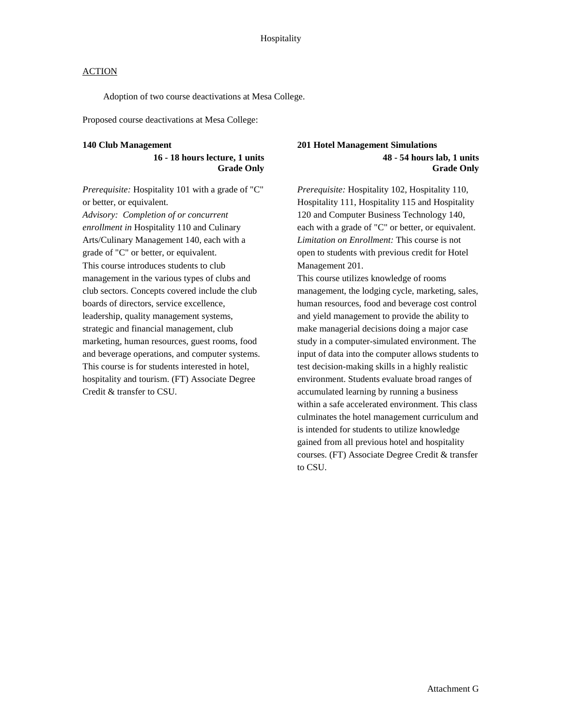Adoption of two course deactivations at Mesa College.

Proposed course deactivations at Mesa College:

#### **140 Club Management**

## **16 - 18 hours lecture, 1 units Grade Only**

*Prerequisite:* Hospitality 101 with a grade of "C" or better, or equivalent.

*Advisory: Completion of or concurrent enrollment in* Hospitality 110 and Culinary Arts/Culinary Management 140, each with a grade of "C" or better, or equivalent. This course introduces students to club management in the various types of clubs and club sectors. Concepts covered include the club boards of directors, service excellence, leadership, quality management systems, strategic and financial management, club marketing, human resources, guest rooms, food and beverage operations, and computer systems. This course is for students interested in hotel, hospitality and tourism. (FT) Associate Degree Credit & transfer to CSU.

### **201 Hotel Management Simulations 48 - 54 hours lab, 1 units Grade Only**

*Prerequisite:* Hospitality 102, Hospitality 110, Hospitality 111, Hospitality 115 and Hospitality 120 and Computer Business Technology 140, each with a grade of "C" or better, or equivalent. *Limitation on Enrollment:* This course is not open to students with previous credit for Hotel Management 201.

This course utilizes knowledge of rooms management, the lodging cycle, marketing, sales, human resources, food and beverage cost control and yield management to provide the ability to make managerial decisions doing a major case study in a computer-simulated environment. The input of data into the computer allows students to test decision-making skills in a highly realistic environment. Students evaluate broad ranges of accumulated learning by running a business within a safe accelerated environment. This class culminates the hotel management curriculum and is intended for students to utilize knowledge gained from all previous hotel and hospitality courses. (FT) Associate Degree Credit & transfer to CSU.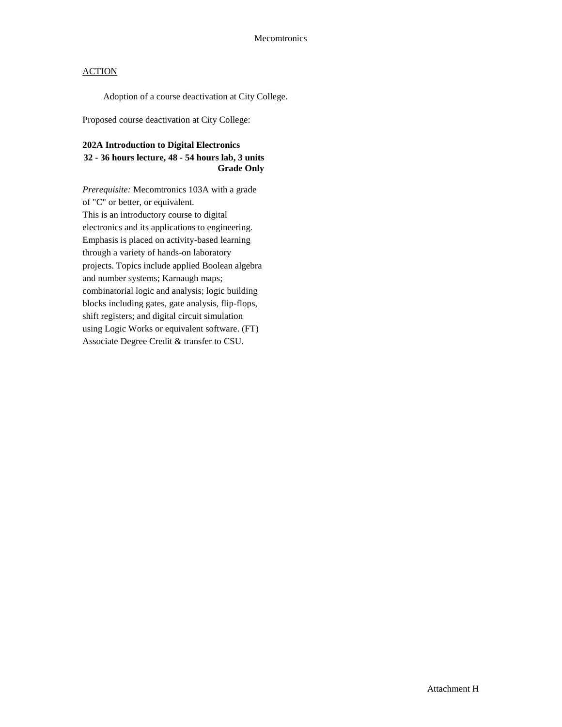Adoption of a course deactivation at City College.

Proposed course deactivation at City College:

# **202A Introduction to Digital Electronics 32 - 36 hours lecture, 48 - 54 hours lab, 3 units Grade Only**

*Prerequisite:* Mecomtronics 103A with a grade of "C" or better, or equivalent. This is an introductory course to digital electronics and its applications to engineering. Emphasis is placed on activity-based learning through a variety of hands-on laboratory projects. Topics include applied Boolean algebra and number systems; Karnaugh maps; combinatorial logic and analysis; logic building blocks including gates, gate analysis, flip-flops, shift registers; and digital circuit simulation using Logic Works or equivalent software. (FT) Associate Degree Credit & transfer to CSU.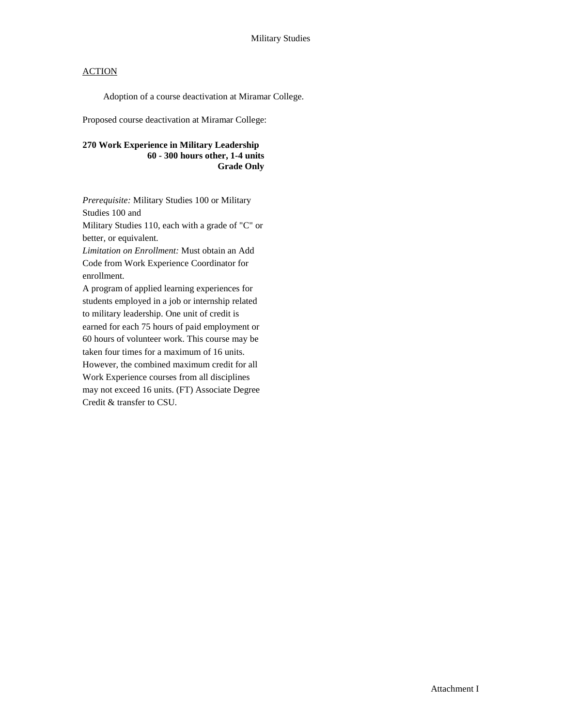Adoption of a course deactivation at Miramar College.

Proposed course deactivation at Miramar College:

**270 Work Experience in Military Leadership 60 - 300 hours other, 1-4 units Grade Only** 

*Prerequisite:* Military Studies 100 or Military Studies 100 and Military Studies 110, each with a grade of "C" or better, or equivalent.

*Limitation on Enrollment:* Must obtain an Add Code from Work Experience Coordinator for enrollment.

A program of applied learning experiences for students employed in a job or internship related to military leadership. One unit of credit is earned for each 75 hours of paid employment or 60 hours of volunteer work. This course may be taken four times for a maximum of 16 units. However, the combined maximum credit for all Work Experience courses from all disciplines may not exceed 16 units. (FT) Associate Degree Credit & transfer to CSU.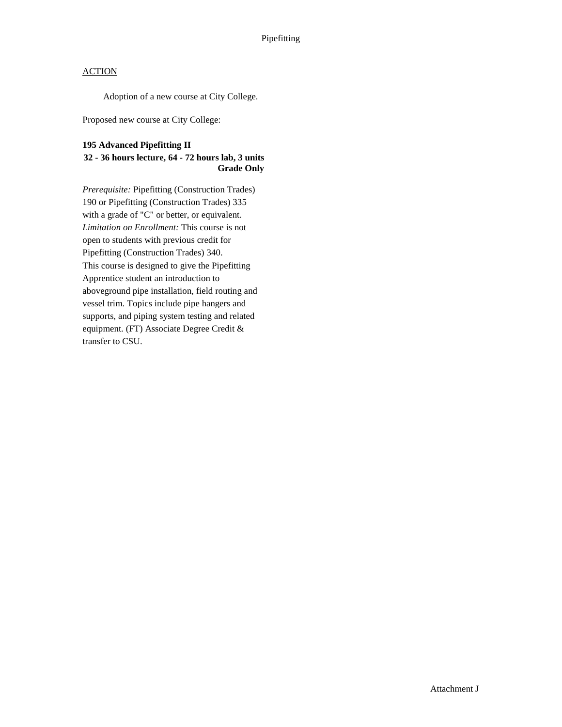Adoption of a new course at City College.

Proposed new course at City College:

## **195 Advanced Pipefitting II**

#### **32 - 36 hours lecture, 64 - 72 hours lab, 3 units Grade Only**

*Prerequisite:* Pipefitting (Construction Trades) 190 or Pipefitting (Construction Trades) 335 with a grade of "C" or better, or equivalent. *Limitation on Enrollment:* This course is not open to students with previous credit for Pipefitting (Construction Trades) 340. This course is designed to give the Pipefitting Apprentice student an introduction to aboveground pipe installation, field routing and vessel trim. Topics include pipe hangers and supports, and piping system testing and related equipment. (FT) Associate Degree Credit & transfer to CSU.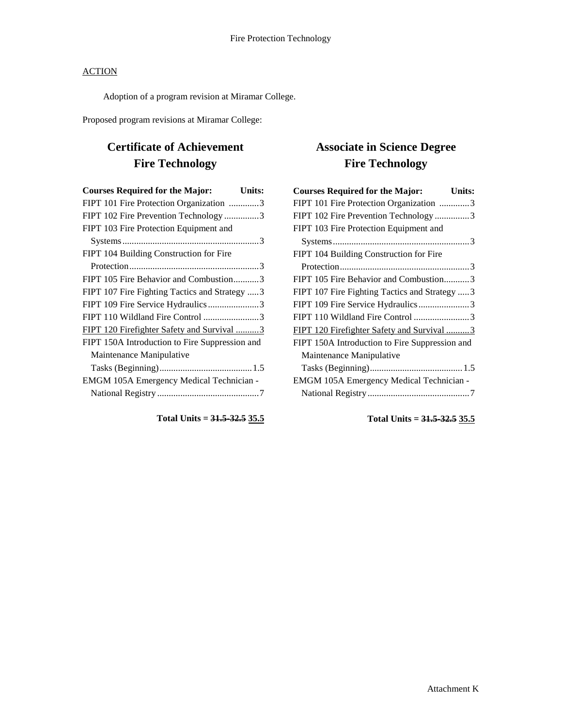Adoption of a program revision at Miramar College.

Proposed program revisions at Miramar College:

# **Certificate of Achievement Fire Technology**

| <b>Courses Required for the Major:</b>         | Units: |
|------------------------------------------------|--------|
| FIPT 101 Fire Protection Organization 3        |        |
| FIPT 102 Fire Prevention Technology3           |        |
| FIPT 103 Fire Protection Equipment and         |        |
|                                                |        |
| FIPT 104 Building Construction for Fire        |        |
|                                                |        |
| FIPT 105 Fire Behavior and Combustion3         |        |
| FIPT 107 Fire Fighting Tactics and Strategy 3  |        |
| FIPT 109 Fire Service Hydraulics3              |        |
|                                                |        |
| FIPT 120 Firefighter Safety and Survival 3     |        |
| FIPT 150A Introduction to Fire Suppression and |        |
| Maintenance Manipulative                       |        |
|                                                |        |
| EMGM 105A Emergency Medical Technician -       |        |
|                                                |        |
|                                                |        |

**Total Units = 31.5-32.5 35.5**

# **Associate in Science Degree Fire Technology**

| <b>Courses Required for the Major:</b>         | <b>Units:</b> |
|------------------------------------------------|---------------|
| FIPT 101 Fire Protection Organization 3        |               |
| FIPT 102 Fire Prevention Technology3           |               |
| FIPT 103 Fire Protection Equipment and         |               |
|                                                |               |
| FIPT 104 Building Construction for Fire        |               |
|                                                |               |
| FIPT 105 Fire Behavior and Combustion3         |               |
| FIPT 107 Fire Fighting Tactics and Strategy  3 |               |
| FIPT 109 Fire Service Hydraulics3              |               |
| FIPT 110 Wildland Fire Control 3               |               |
| FIPT 120 Firefighter Safety and Survival 3     |               |
| FIPT 150A Introduction to Fire Suppression and |               |
| Maintenance Manipulative                       |               |
|                                                |               |
| EMGM 105A Emergency Medical Technician -       |               |
|                                                |               |
|                                                |               |

**Total Units = 31.5-32.5 35.5**